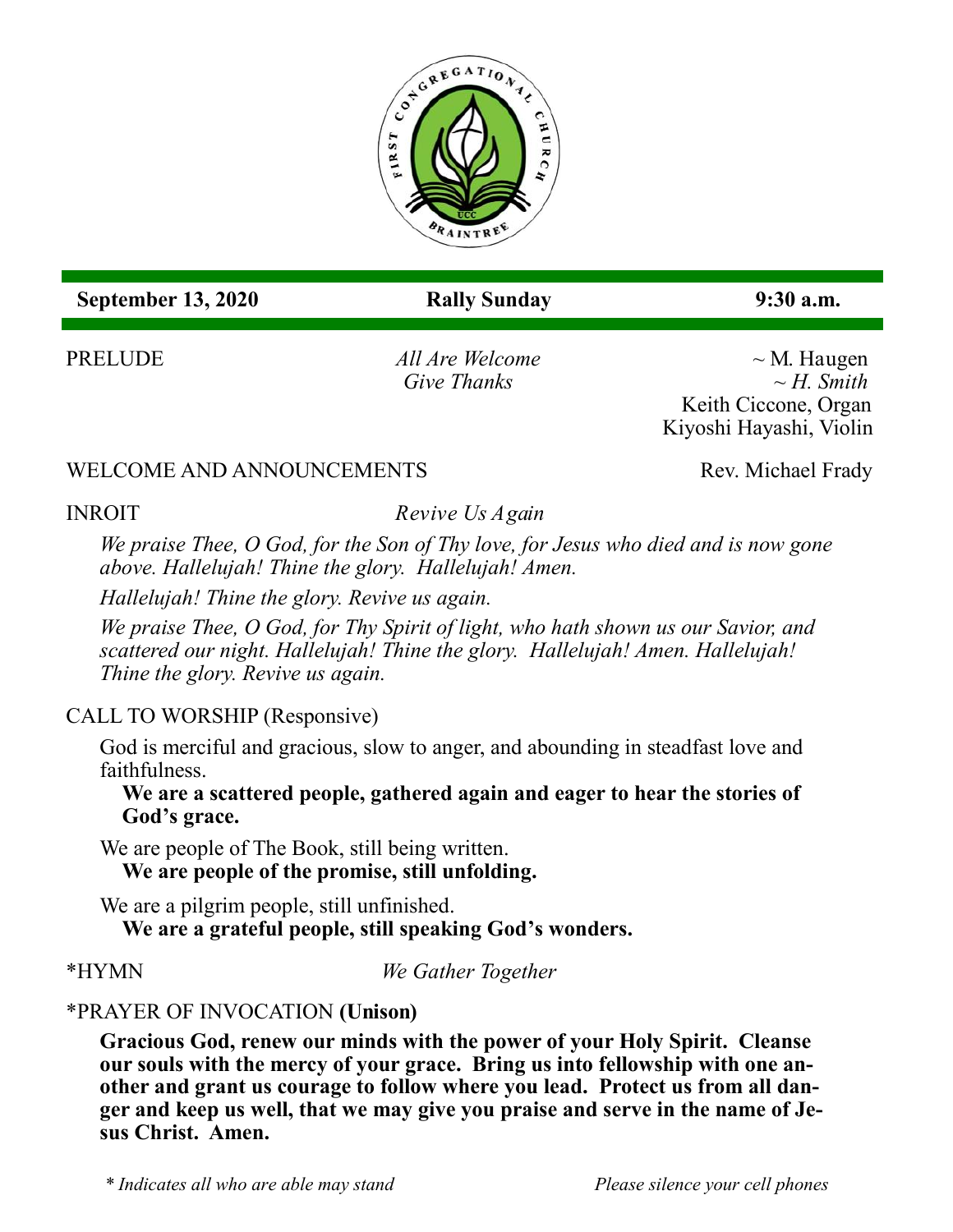

 **September 13, 2020 Rally Sunday 9:30 a.m.**

PRELUDE *All Are Welcome* ~ M. Haugen *Give Thanks ~ H. Smith* Keith Ciccone, Organ Kiyoshi Hayashi, Violin

#### WELCOME AND ANNOUNCEMENTS Rev. Michael Frady

#### **INROIT**

*Revive Us Again* 

*We praise Thee, O God, for the Son of Thy love, for Jesus who died and is now gone above. Hallelujah! Thine the glory. Hallelujah! Amen.* 

*Hallelujah! Thine the glory. Revive us again.* 

*We praise Thee, O God, for Thy Spirit of light, who hath shown us our Savior, and scattered our night. Hallelujah! Thine the glory. Hallelujah! Amen. Hallelujah! Thine the glory. Revive us again.*

### CALL TO WORSHIP (Responsive)

God is merciful and gracious, slow to anger, and abounding in steadfast love and faithfulness.

**We are a scattered people, gathered again and eager to hear the stories of God's grace.**

We are people of The Book, still being written. **We are people of the promise, still unfolding.**

We are a pilgrim people, still unfinished. **We are a grateful people, still speaking God's wonders.**

\*HYMN *We Gather Together*

### \*PRAYER OF INVOCATION **(Unison)**

**Gracious God, renew our minds with the power of your Holy Spirit. Cleanse our souls with the mercy of your grace. Bring us into fellowship with one another and grant us courage to follow where you lead. Protect us from all danger and keep us well, that we may give you praise and serve in the name of Jesus Christ. Amen.**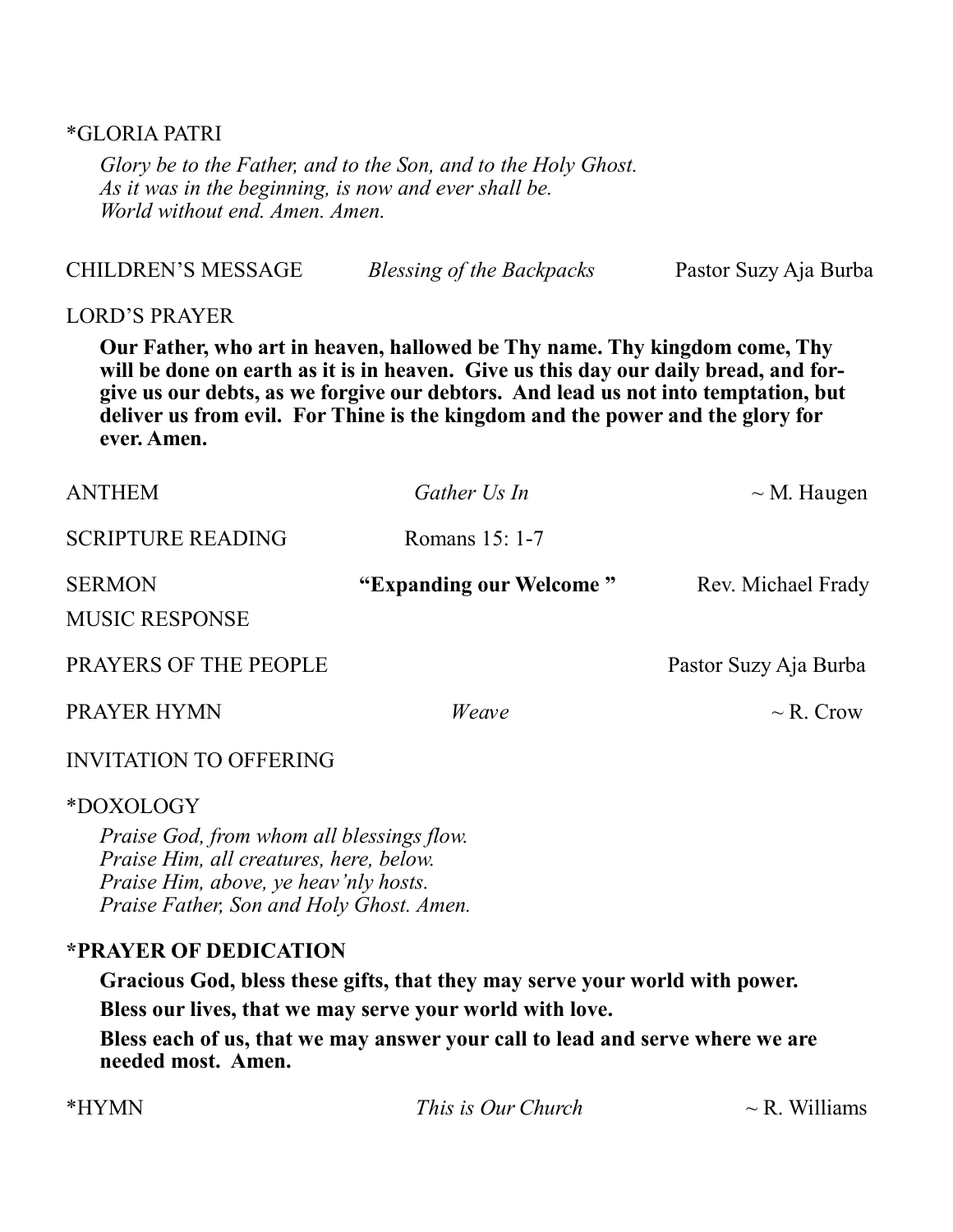#### \*GLORIA PATRI

*Glory be to the Father, and to the Son, and to the Holy Ghost. As it was in the beginning, is now and ever shall be. World without end. Amen. Amen.* 

|                           | Our Father, who art in heaven, hallowed be Thy name. Thy kingdom come, Thy<br>will be done on earth as it is in heaven. Give us this day our daily bread, and for-<br>oive us our debts as we forgive our debtors. And lead us not into temptation but |                       |
|---------------------------|--------------------------------------------------------------------------------------------------------------------------------------------------------------------------------------------------------------------------------------------------------|-----------------------|
| <b>LORD'S PRAYER</b>      |                                                                                                                                                                                                                                                        |                       |
| <b>CHILDREN'S MESSAGE</b> | Blessing of the Backpacks                                                                                                                                                                                                                              | Pastor Suzy Aja Burba |

**give us our debts, as we forgive our debtors. And lead us not into temptation, but deliver us from evil. For Thine is the kingdom and the power and the glory for ever. Amen.**

| <b>ANTHEM</b>                          | Gather Us In            | $\sim$ M. Haugen      |
|----------------------------------------|-------------------------|-----------------------|
| <b>SCRIPTURE READING</b>               | Romans 15: 1-7          |                       |
| <b>SERMON</b><br><b>MUSIC RESPONSE</b> | "Expanding our Welcome" | Rev. Michael Frady    |
| PRAYERS OF THE PEOPLE                  |                         | Pastor Suzy Aja Burba |
| PRAYER HYMN                            | Weave                   | $\sim$ R. Crow        |
| <b>INVITATION TO OFFERING</b>          |                         |                       |
| *DOXOLOGY                              |                         |                       |

*Praise God, from whom all blessings flow. Praise Him, all creatures, here, below. Praise Him, above, ye heav'nly hosts. Praise Father, Son and Holy Ghost. Amen.*

#### **\*PRAYER OF DEDICATION**

**Gracious God, bless these gifts, that they may serve your world with power. Bless our lives, that we may serve your world with love.** 

**Bless each of us, that we may answer your call to lead and serve where we are needed most. Amen.**

| *HYMN | <i>This is Our Church</i> | $\sim$ R. Williams |
|-------|---------------------------|--------------------|
|       |                           |                    |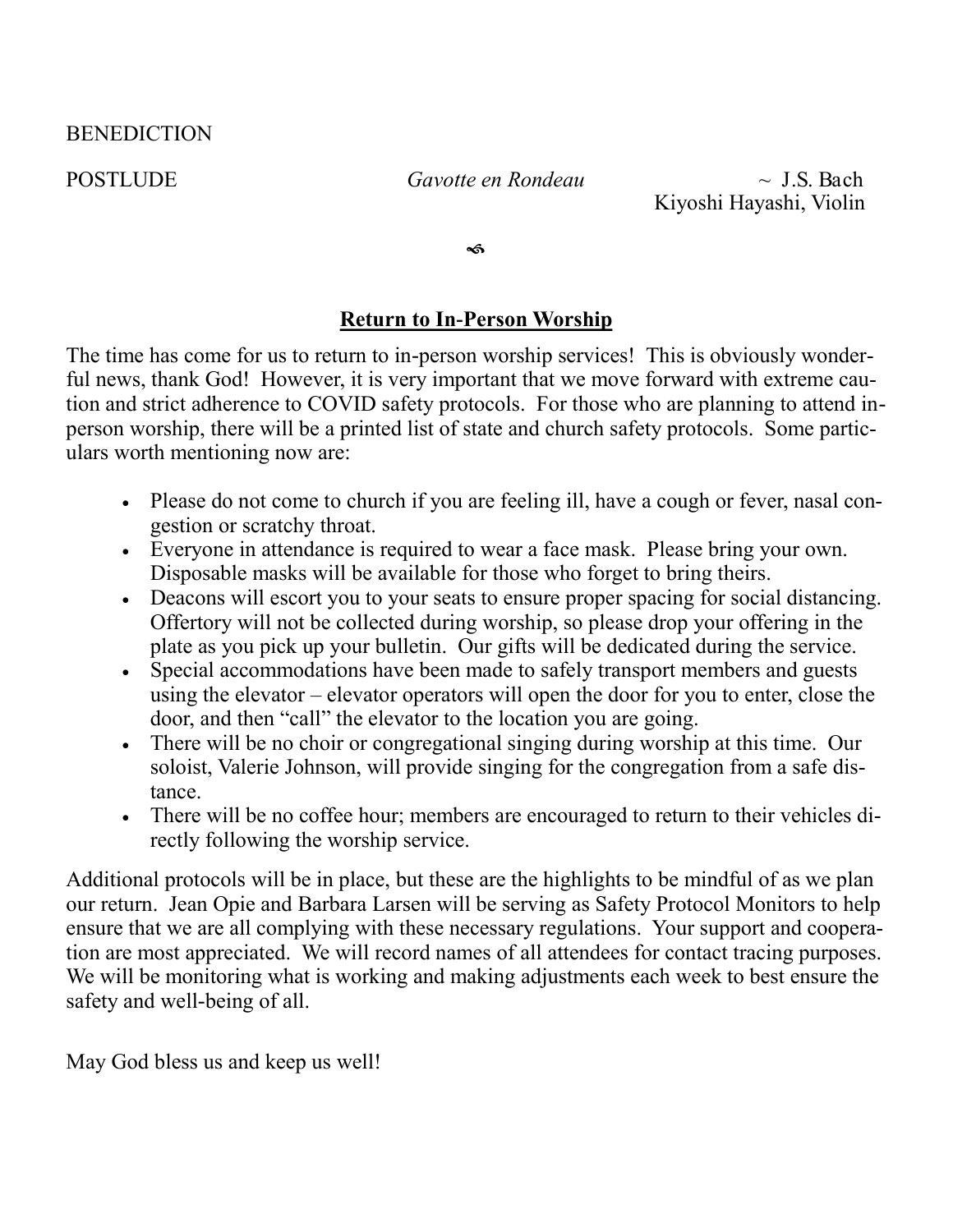#### BENEDICTION

POSTLUDE *Gavotte en Rondeau* ~ J.S. Bach Kiyoshi Hayashi, Violin

କ

#### **Return to In-Person Worship**

The time has come for us to return to in-person worship services! This is obviously wonderful news, thank God! However, it is very important that we move forward with extreme caution and strict adherence to COVID safety protocols. For those who are planning to attend inperson worship, there will be a printed list of state and church safety protocols. Some particulars worth mentioning now are:

- Please do not come to church if you are feeling ill, have a cough or fever, nasal congestion or scratchy throat.
- Everyone in attendance is required to wear a face mask. Please bring your own. Disposable masks will be available for those who forget to bring theirs.
- Deacons will escort you to your seats to ensure proper spacing for social distancing. Offertory will not be collected during worship, so please drop your offering in the plate as you pick up your bulletin. Our gifts will be dedicated during the service.
- Special accommodations have been made to safely transport members and guests using the elevator – elevator operators will open the door for you to enter, close the door, and then "call" the elevator to the location you are going.
- There will be no choir or congregational singing during worship at this time. Our soloist, Valerie Johnson, will provide singing for the congregation from a safe distance.
- There will be no coffee hour; members are encouraged to return to their vehicles directly following the worship service.

Additional protocols will be in place, but these are the highlights to be mindful of as we plan our return. Jean Opie and Barbara Larsen will be serving as Safety Protocol Monitors to help ensure that we are all complying with these necessary regulations. Your support and cooperation are most appreciated. We will record names of all attendees for contact tracing purposes. We will be monitoring what is working and making adjustments each week to best ensure the safety and well-being of all.

May God bless us and keep us well!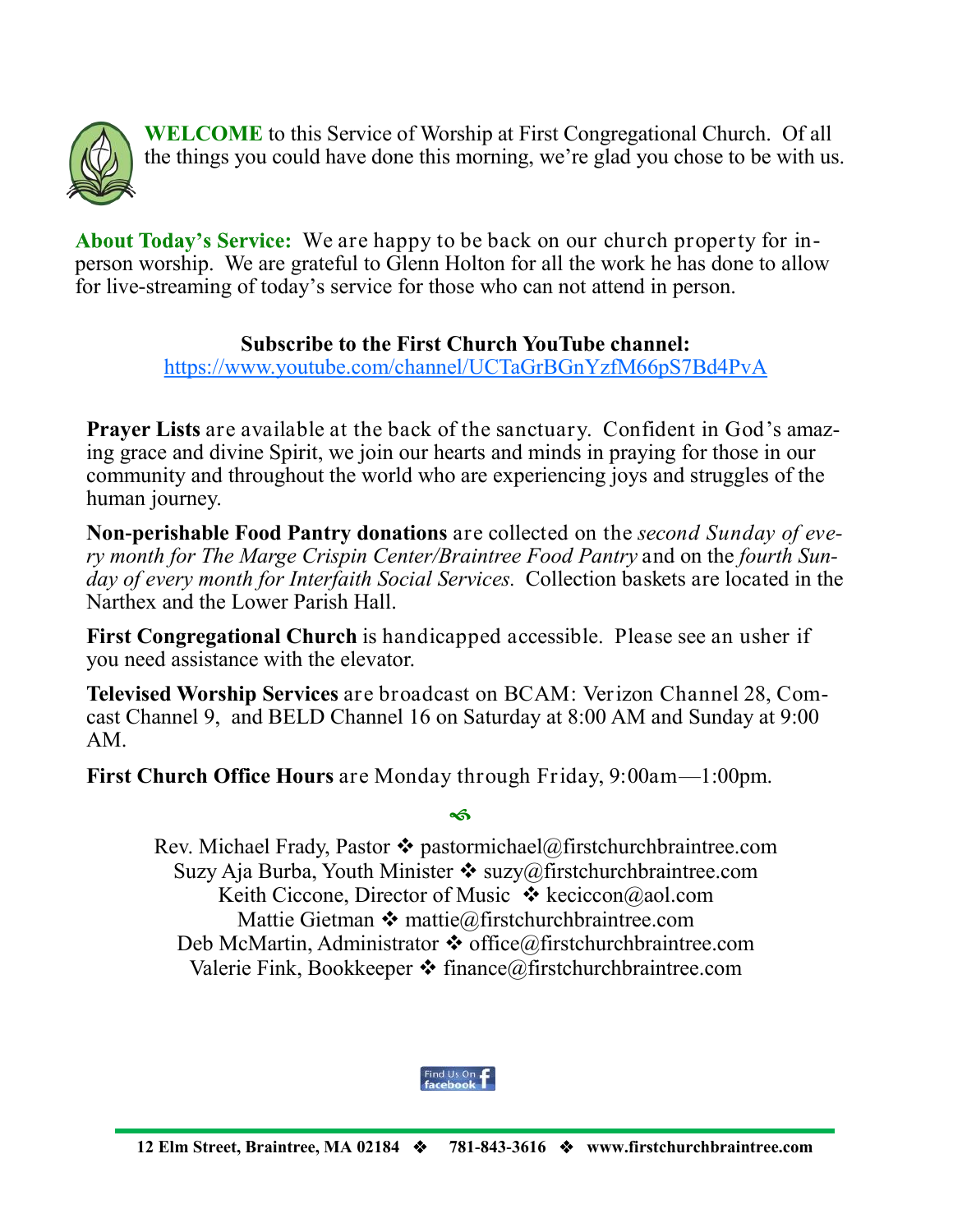

**WELCOME** to this Service of Worship at First Congregational Church. Of all the things you could have done this morning, we're glad you chose to be with us.

About Today's Service: We are happy to be back on our church property for inperson worship. We are grateful to Glenn Holton for all the work he has done to allow for live-streaming of today's service for those who can not attend in person.

#### **Subscribe to the First Church YouTube channel:**

<https://www.youtube.com/channel/UCTaGrBGnYzfM66pS7Bd4PvA>

**Prayer Lists** are available at the back of the sanctuary. Confident in God's amazing grace and divine Spirit, we join our hearts and minds in praying for those in our community and throughout the world who are experiencing joys and struggles of the human journey.

**Non-perishable Food Pantry donations** are collected on the *second Sunday of every month for The Marge Crispin Center/Braintree Food Pantry* and on the *fourth Sunday of every month for Interfaith Social Services.* Collection baskets are located in the Narthex and the Lower Parish Hall.

**First Congregational Church** is handicapped accessible. Please see an usher if you need assistance with the elevator.

**Televised Worship Services** are broadcast on BCAM: Verizon Channel 28, Comcast Channel 9, and BELD Channel 16 on Saturday at 8:00 AM and Sunday at 9:00 AM.

**First Church Office Hours** are Monday through Friday, 9:00am—1:00pm.

#### ڇه

Rev. Michael Frady, Pastor  $\triangle$  pastormichael@firstchurchbraintree.com Suzy Aja Burba, Youth Minister  $\cdot \cdot$  suzy@firstchurchbraintree.com Keith Ciccone, Director of Music  $\cdot \cdot$  keciccon@aol.com Mattie Gietman  $\triangle$  [mattie@firstchurchbraintree.com](mailto:mattie@firstchurchbraintree.com) Deb McMartin, Administrator  $\triangle$  office@firstchurchbraintree.com Valerie Fink, Bookkeeper  $\triangleleft$  finance@firstchurchbraintree.com